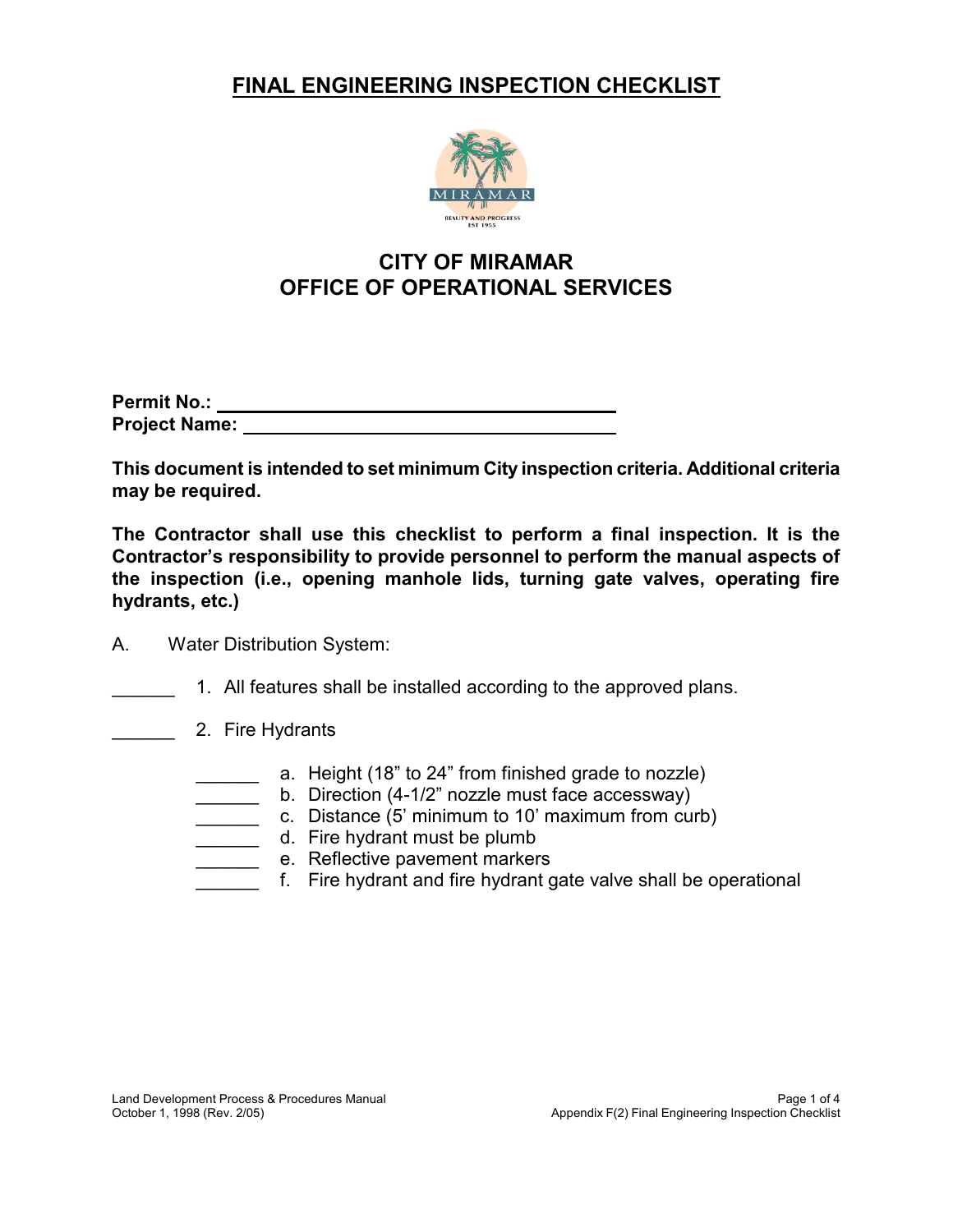

# **CITY OF MIRAMAR OFFICE OF OPERATIONAL SERVICES**

| <b>Permit No.:</b>   |  |
|----------------------|--|
| <b>Project Name:</b> |  |

 **This document is intended to set minimum City inspection criteria. Additional criteria may be required.**

 **The Contractor shall use this checklist to perform a final inspection. It is the** document is intended to set minimum City inspection criteria. Additional criteria or expansion is contractor's responsibility to provide personnel to perform a final inspection. It is<br>
contractor's responsibility to provid **FINAL ENGINEERING INSPECTION CHECKLIST**<br>
CITY OF MIRAMAR<br>
OFFICE OF OPERATIONAL SERVICES<br>
No.:<br>
No.:<br>
No.:<br>
Hame:<br>
coument is intended to set minimum City inspection criteria. Add<br>
required.<br>
thame:<br>
the proposibility to **Contractor's responsibility to provide personnel to perform the manual aspects of the inspection (i.e., opening manhole lids, turning gate valves, operating fire hydrants, etc.)**

- A. Water Distribution System:
- \_\_\_\_\_\_ 1. All features shall be installed according to the approved plans.
- \_\_\_\_\_\_\_\_ 2. Fire Hydrants
	- \_\_\_\_\_\_ a. Height (18" to 24" from finished grade to nozzle)
	- \_\_\_\_\_\_ b. Direction (4-1/2" nozzle must face accessway)
	- \_\_\_\_\_\_ c. Distance (5' minimum to 10' maximum from curb)
	- \_\_\_\_\_\_\_ d. Fire hydrant must be plumb
	- \_\_\_\_\_\_\_ e. Reflective pavement markers
	- $\frac{1}{2}$ f. Fire hydrant and fire hydrant gate valve shall be operational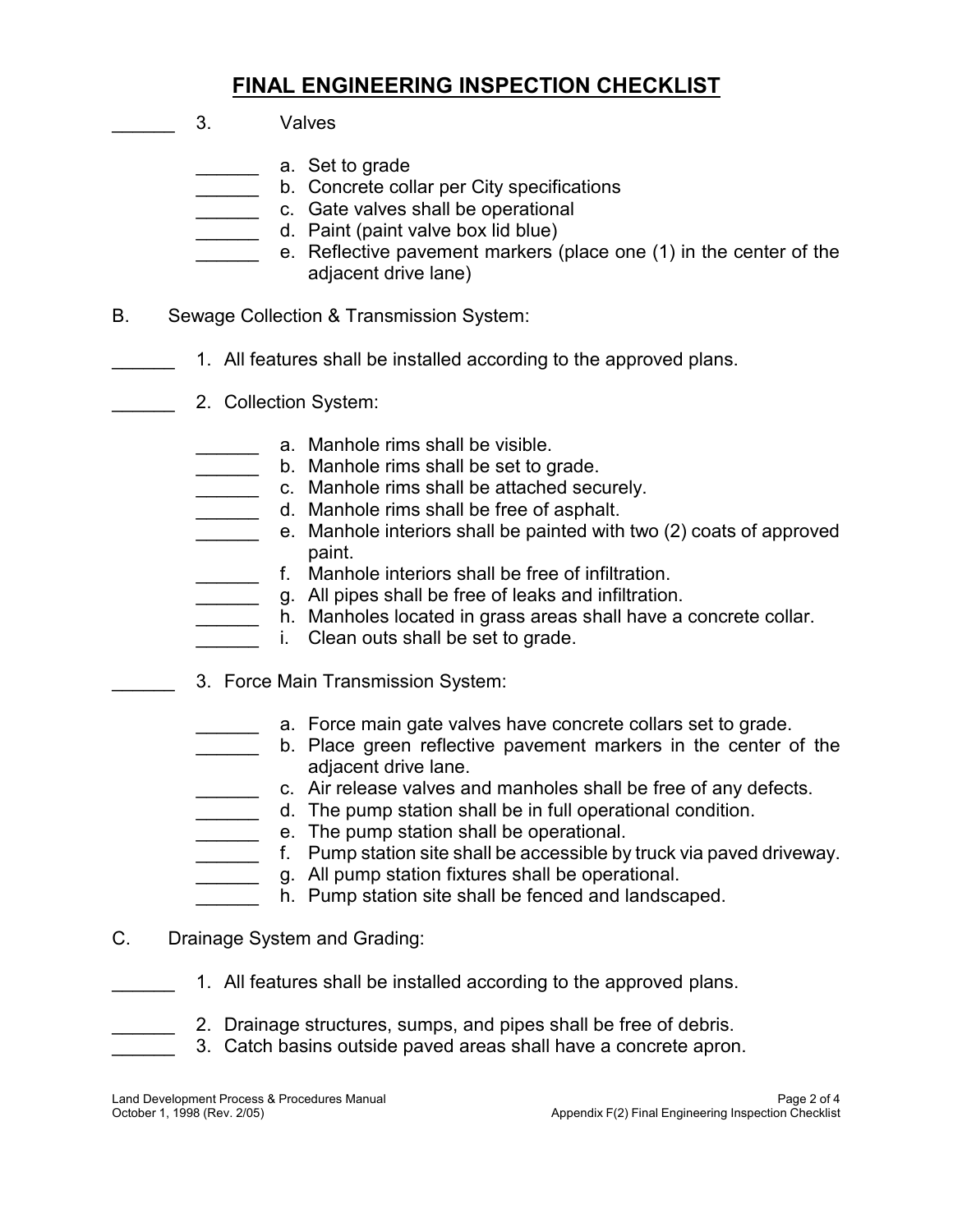- $\frac{1}{2}$ \_\_\_\_\_\_\_\_\_\_\_\_ a. Set to grade \_\_\_\_\_\_ b. Concrete collar per City specifications \_\_\_\_\_\_\_\_ c. Gate valves shall be operational \_\_\_\_\_\_ d. Paint (paint valve box lid blue)  $\frac{1}{2}$ B. Sewage Collection & Transmission System:  $\frac{1}{2}$  $\frac{1}{2}$ \_\_\_\_\_\_ a. Manhole rims shall be visible. \_\_\_\_\_\_ b. Manhole rims shall be set to grade. \_\_\_\_\_\_ c. Manhole rims shall be attached securely. \_\_\_\_\_\_ d. Manhole rims shall be free of asphalt. \_\_\_\_\_\_ e. Manhole interiors shall be painted with two (2) coats of approved \_\_\_\_\_\_ f. Manhole interiors shall be free of infiltration.  $\frac{1}{2}$  $\frac{1}{2}$  $\frac{1}{2}$  $\frac{1}{2}$  $\frac{1}{2}$ \_\_\_\_\_\_ b. Place green reflective pavement markers in the center of the \_\_\_\_\_\_ c. Air release valves and manholes shall be free of any defects. **FINAL ENGINEERING INSPECTION CHECKLIST**<br> **FINAL ENGINEERING INSPECTION CHECKLIST**<br> **EXECUTE CREVENT DEVISED AND**<br> **EXECUTE CREVENT CONSIDERING**<br> **EXECUTE CREVENT DEVISED AND A CONSIDER**<br> **FINAL TOWARGE CONSIDER**<br> **FINAL T** 3. Valves e. Reflective pavement markers (place one (1) in the center of the adjacent drive lane) 1. All features shall be installed according to the approved plans. 2. Collection System: paint. g. All pipes shall be free of leaks and infiltration. h. Manholes located in grass areas shall have a concrete collar. i. Clean outs shall be set to grade. 3. Force Main Transmission System: a. Force main gate valves have concrete collars set to grade. adjacent drive lane.
	- \_\_\_\_\_\_ d. The pump station shall be in full operational condition. \_\_\_\_\_\_ e. The pump station shall be operational.
	- \_\_\_\_\_\_ f. Pump station site shall be accessible by truck via paved driveway.
	- $\frac{1}{2}$ g. All pump station fixtures shall be operational.
	- $\frac{1}{2}$ h. Pump station site shall be fenced and landscaped.
- C. Drainage System and Grading:
- $\frac{1}{2}$ 1. All features shall be installed according to the approved plans.
- $\frac{1}{2}$ 2. Drainage structures, sumps, and pipes shall be free of debris.
- $\overline{\phantom{a}}$ 3. Catch basins outside paved areas shall have a concrete apron.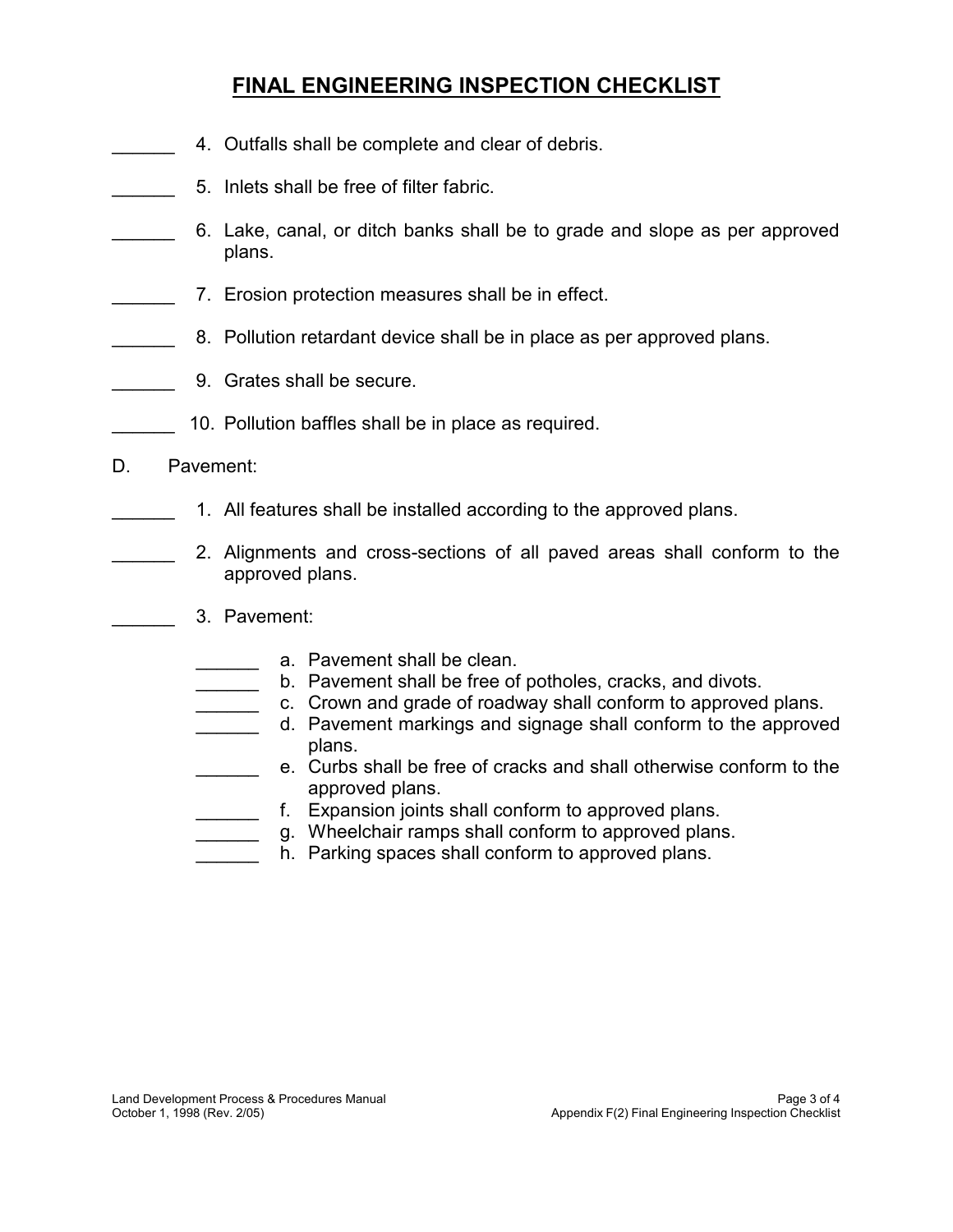- $\frac{1}{2}$ 4. Outfalls shall be complete and clear of debris.
- $\frac{1}{2}$ 5. Inlets shall be free of filter fabric.
- $\frac{1}{2}$ **FINAL ENGINEERING INSPECTION CHECKLIST**<br>
4. Outfalls shall be complete and clear of debris.<br>
5. Inlets shall be free of filter fabric.<br>
6. Lake, canal, or ditch banks shall be to grade and slope as<br>
plans.<br>
7. Erosion pro 6. Lake, canal, or ditch banks shall be to grade and slope as per approved plans.
- $\frac{1}{2}$ 7. Erosion protection measures shall be in effect.
- $\frac{1}{2}$ 8. Pollution retardant device shall be in place as per approved plans.
- $\overline{\phantom{a}}$ 9. Grates shall be secure.
- $\frac{1}{2}$ 10. Pollution baffles shall be in place as required.
- D. Pavement:

 $\frac{1}{2}$ 

- $\frac{1}{2}$ 1. All features shall be installed according to the approved plans.
- $\frac{1}{2}$  2. Alignments and cross-sections of all paved areas shall conform to the approved plans.
	- 3. Pavement:
		- a. Pavement shall be clean.
		- $\frac{1}{2}$ b. Pavement shall be free of potholes, cracks, and divots.
		- $\frac{1}{2}$ c. Crown and grade of roadway shall conform to approved plans.
- $\overline{\phantom{a}}$ all paved areas shall conform to<br>of potholes, cracks, and divots.<br>Iway shall conform to approved plan<br>signage shall conform to the appro<br>acks and shall otherwise conform to<br>nform to approved plans.<br>form to approved plans.<br> d. Pavement markings and signage shall conform to the approved plans.
	- \_\_\_\_\_\_\_\_\_ e. Curbs shall be free of cracks and shall otherwise conform to the approved plans.
	- $\frac{1}{2}$ f. Expansion joints shall conform to approved plans.
	- $\overline{\phantom{a}}$ g. Wheelchair ramps shall conform to approved plans.
	- $\frac{1}{2}$ h. Parking spaces shall conform to approved plans.